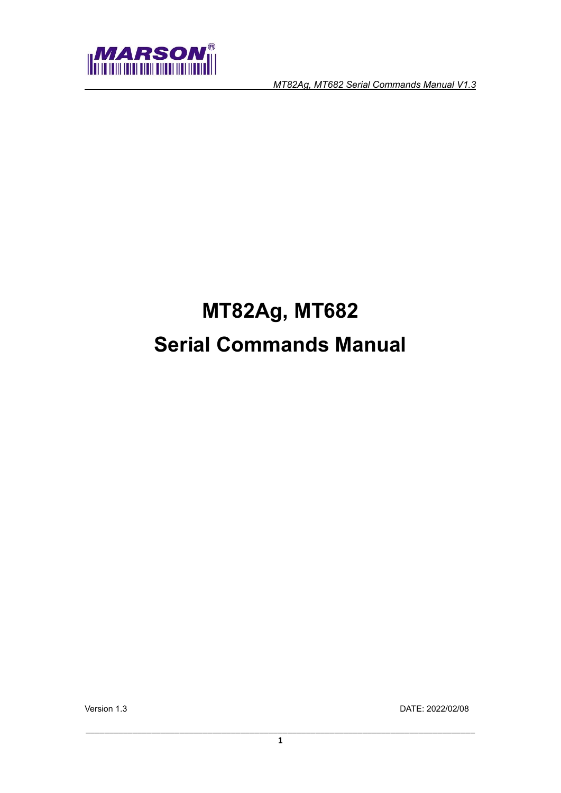

# **MT82Ag, MT682 Serial Commands Manual**

Version 1.3 DATE: 2022/02/08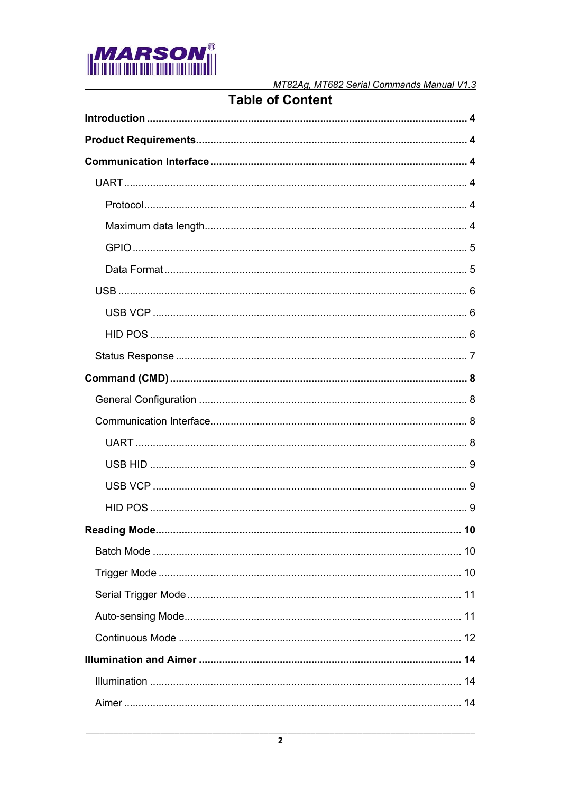

## **Table of Content**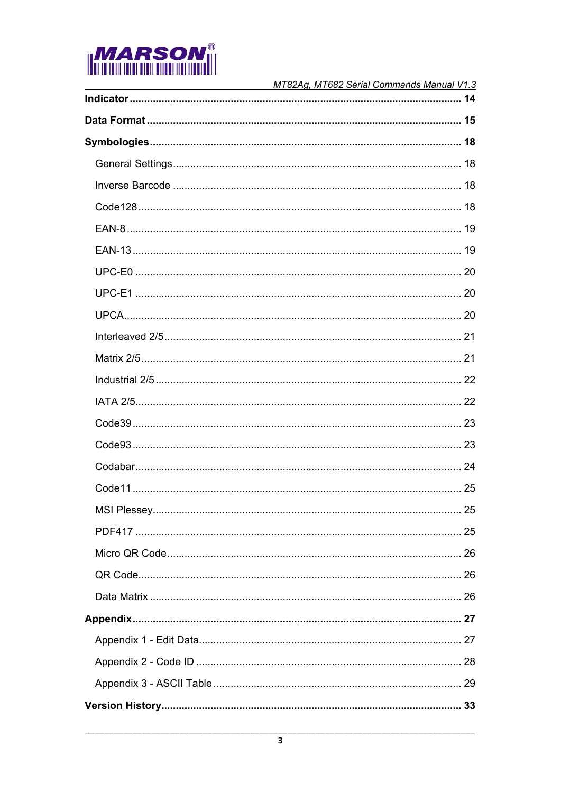

| MT82Ag, MT682 Serial Commands Manual V1.3 |
|-------------------------------------------|
|                                           |
|                                           |
|                                           |
|                                           |
|                                           |
|                                           |
|                                           |
|                                           |
|                                           |
|                                           |
|                                           |
|                                           |
|                                           |
|                                           |
|                                           |
|                                           |
|                                           |
|                                           |
|                                           |
|                                           |
|                                           |
|                                           |
|                                           |
|                                           |
|                                           |
|                                           |
|                                           |
|                                           |
|                                           |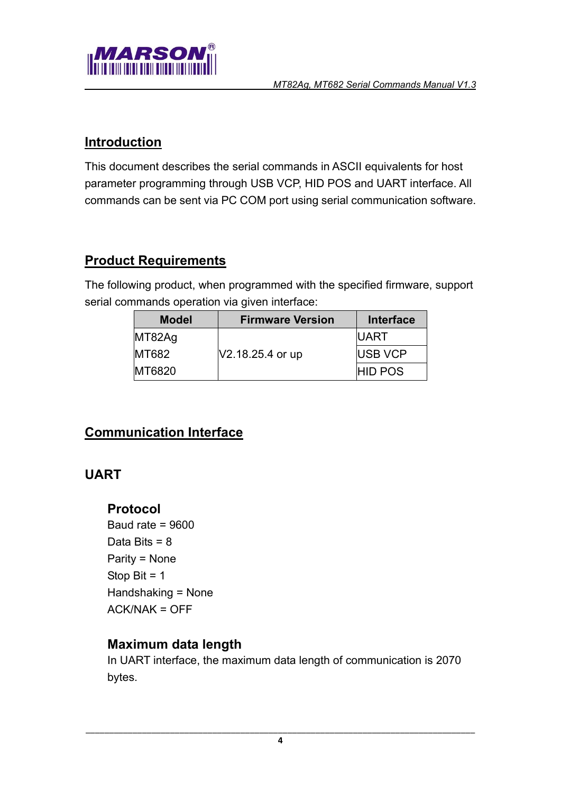

#### <span id="page-3-0"></span>**Introduction**

This document describes the serial commands in ASCII equivalents for host parameter programming through USB VCP, HID POS and UART interface. All commands can be sent via PC COM port using serial communication software.

## <span id="page-3-1"></span>**Product Requirements**

The following product, when programmed with the specified firmware, support serial commands operation via given interface:

| <b>Model</b> | <b>Firmware Version</b> | Interface      |
|--------------|-------------------------|----------------|
| MT82Ag       |                         | <b>UART</b>    |
| MT682        | V2.18.25.4 or up        | USB VCP        |
| MT6820       |                         | <b>HID POS</b> |

## <span id="page-3-2"></span>**Communication Interface**

## <span id="page-3-4"></span><span id="page-3-3"></span>**UART**

#### **Protocol**

Baud rate  $= 9600$ Data Bits = 8 Parity = None Stop Bit  $= 1$ Handshaking = None ACK/NAK = OFF

#### <span id="page-3-5"></span>**Maximum data length**

In UART interface, the maximum data length of communication is 2070 bytes.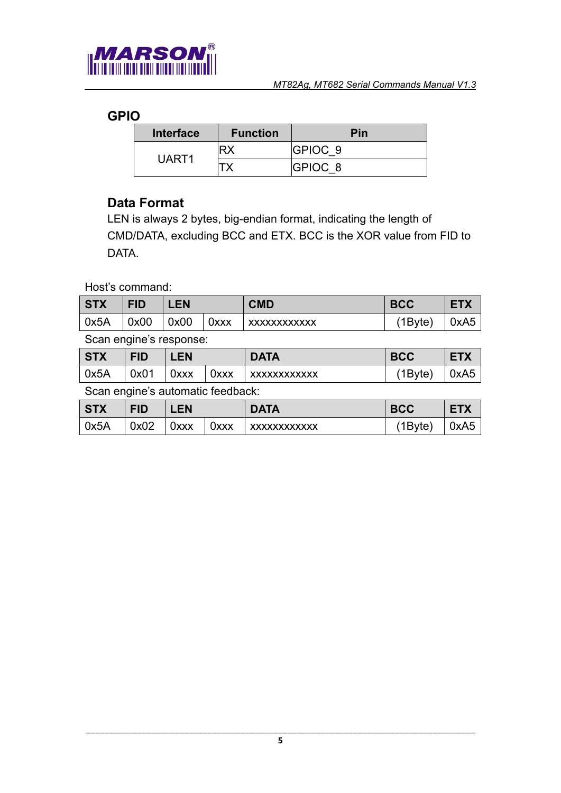

## <span id="page-4-0"></span>**GPIO**

| <b>Interface</b> | <b>Function</b> | Pin                |
|------------------|-----------------|--------------------|
| UART1            |                 | GPIOC <sub>9</sub> |
|                  |                 | GPIOC <sub>8</sub> |

#### <span id="page-4-1"></span>**Data Format**

LEN is always 2 bytes, big-endian format, indicating the length of CMD/DATA, excluding BCC and ETX. BCC is the XOR value from FID to DATA.

Host's command:

| <b>STX</b> | FID  | <b>LEN</b> |      | <b>CMD</b>   | <b>BCC</b> |      |
|------------|------|------------|------|--------------|------------|------|
| $\log 5A$  | 0x00 | 0x00       | 0xxx | XXXXXXXXXXXX | 1Byte)     | 0xA5 |

Scan engine's response:

| <b>STX</b> | <b>FID</b> | <b>EN</b> |      | <b>DATA</b>         | <b>BCC</b> | <b>ETX</b> |
|------------|------------|-----------|------|---------------------|------------|------------|
| 0x5A       | 0x01       | 0xxx      | 0xxx | <b>XXXXXXXXXXXX</b> | 1Byte)     | 0xA5       |

Scan engine's automatic feedback:

| <b>STX</b> | <b>FID</b> | LEN. |      | <b>DATA</b>  | <b>BCC</b> | <b>ETX</b>       |
|------------|------------|------|------|--------------|------------|------------------|
| 0x5A       | 0x02       | 0xxx | 0xxx | XXXXXXXXXXXX | 1Byte)     | 0xA <sub>5</sub> |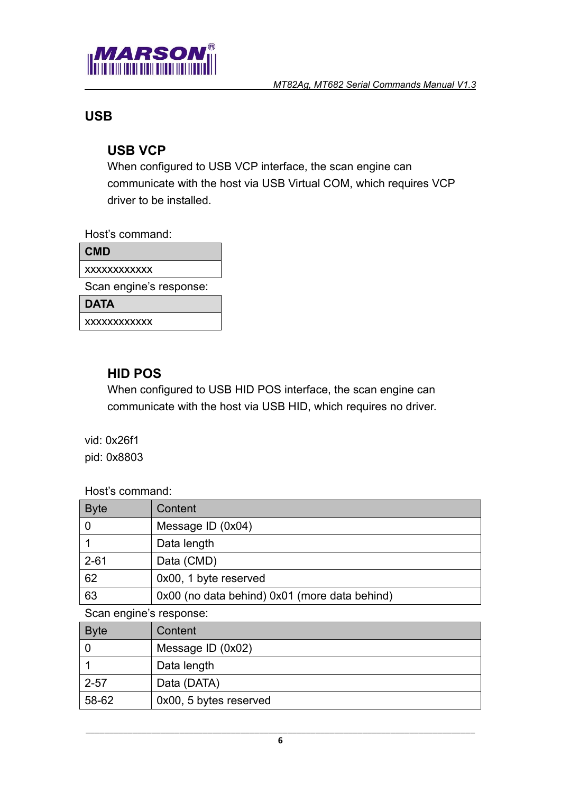

#### <span id="page-5-1"></span><span id="page-5-0"></span>**USB**

#### **USB VCP**

When configured to USB VCP interface, the scan engine can communicate with the host via USB Virtual COM, which requires VCP driver to be installed.

Host's command:

| <b>CMD</b>              |
|-------------------------|
| XXXXXXXXXXX             |
| Scan engine's response: |
| <b>DATA</b>             |
| XXXXXXXXXXX             |

#### <span id="page-5-2"></span>**HID POS**

When configured to USB HID POS interface, the scan engine can communicate with the host via USB HID, which requires no driver.

vid: 0x26f1

pid: 0x8803

Host's command:

| <b>Byte</b> | Content                                       |
|-------------|-----------------------------------------------|
|             | Message ID $(0x04)$                           |
|             | Data length                                   |
| $2 - 61$    | Data (CMD)                                    |
| 62          | 0x00, 1 byte reserved                         |
| 63          | 0x00 (no data behind) 0x01 (more data behind) |

Scan engine's response:

| <b>Byte</b> | Content                |
|-------------|------------------------|
|             | Message ID $(0x02)$    |
|             | Data length            |
| $2 - 57$    | Data (DATA)            |
| 58-62       | 0x00, 5 bytes reserved |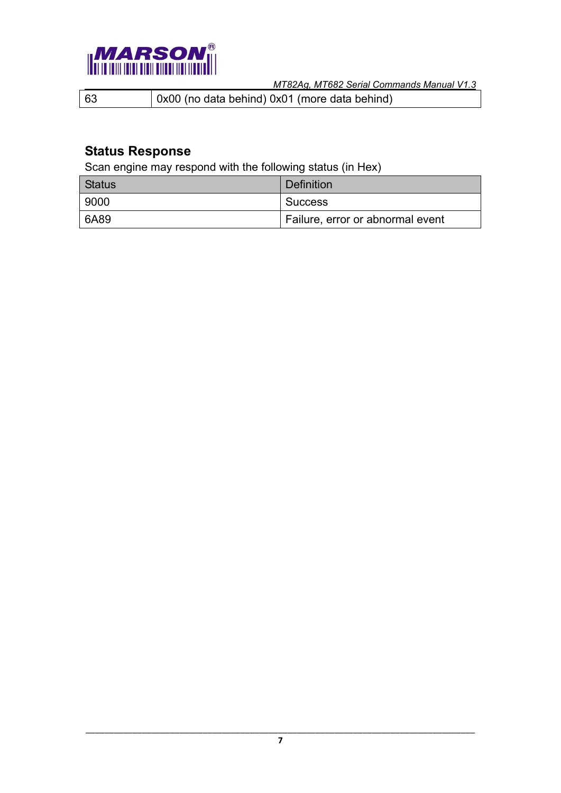

63 0x00 (no data behind) 0x01 (more data behind)

## <span id="page-6-0"></span>**Status Response**

Scan engine may respond with the following status (in Hex)

| Status | Definition                       |
|--------|----------------------------------|
| l 9000 | <b>Success</b>                   |
| l 6A89 | Failure, error or abnormal event |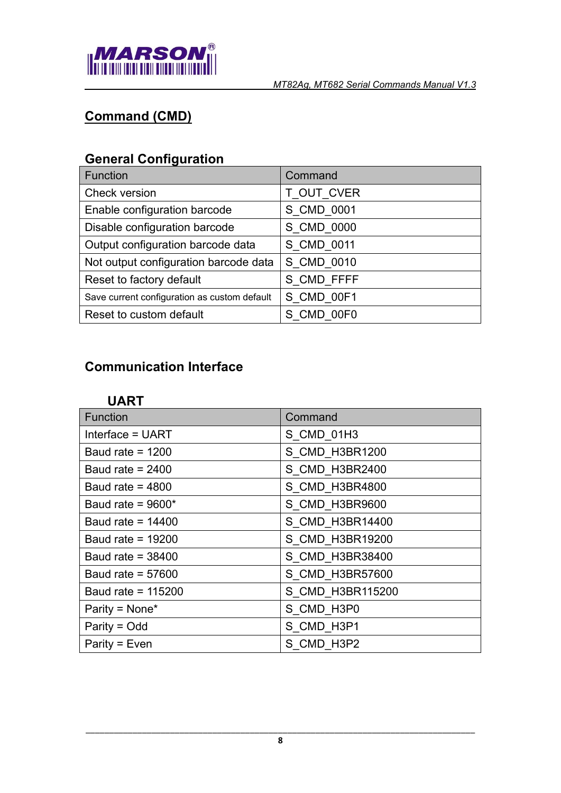

# <span id="page-7-0"></span>**Command (CMD)**

# <span id="page-7-1"></span>**General Configuration**

| <b>Function</b>                              | Command    |
|----------------------------------------------|------------|
| Check version                                | T_OUT_CVER |
| Enable configuration barcode                 | S_CMD_0001 |
| Disable configuration barcode                | S CMD 0000 |
| Output configuration barcode data            | S CMD 0011 |
| Not output configuration barcode data        | S CMD 0010 |
| Reset to factory default                     | S CMD FFFF |
| Save current configuration as custom default | S CMD 00F1 |
| Reset to custom default                      | S CMD 00F0 |

## <span id="page-7-3"></span><span id="page-7-2"></span>**Communication Interface**

| Function            | Command          |
|---------------------|------------------|
| Interface = UART    | S_CMD_01H3       |
| Baud rate = $1200$  | S CMD H3BR1200   |
| Baud rate = $2400$  | S CMD H3BR2400   |
| Baud rate = $4800$  | S CMD_H3BR4800   |
| Baud rate = $9600*$ | S_CMD_H3BR9600   |
| Baud rate = $14400$ | S CMD H3BR14400  |
| Baud rate = $19200$ | S CMD H3BR19200  |
| Baud rate = $38400$ | S CMD H3BR38400  |
| Baud rate = $57600$ | S CMD H3BR57600  |
| Baud rate = 115200  | S CMD H3BR115200 |
| Parity = $None*$    | S_CMD_H3P0       |
| Parity = Odd        | S CMD H3P1       |
| Parity = $Even$     | S CMD H3P2       |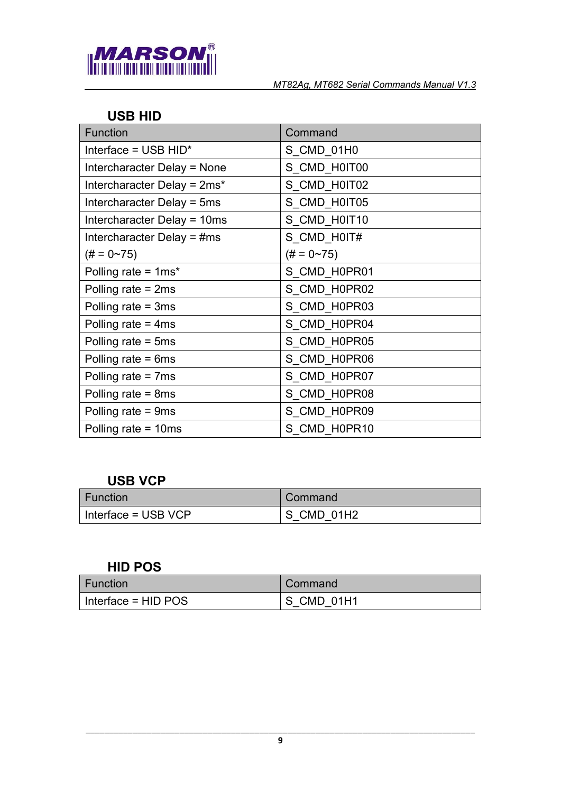

#### <span id="page-8-0"></span>**USB HID**

| <b>Function</b>               | Command            |
|-------------------------------|--------------------|
| Interface = USB HID*          | S_CMD_01H0         |
| Intercharacter Delay = None   | S_CMD_H0IT00       |
| Intercharacter Delay = 2ms*   | S CMD H0IT02       |
| Intercharacter Delay = 5ms    | S_CMD_H0IT05       |
| Intercharacter Delay = 10ms   | S_CMD_H0IT10       |
| Intercharacter Delay = $\#ms$ | S_CMD_H0IT#        |
| $(\# = 0 \sim 75)$            | $(\# = 0 \sim 75)$ |
| Polling rate = 1ms*           | S CMD_H0PR01       |
| Polling rate $=$ 2ms          | S_CMD_H0PR02       |
| Polling rate $=$ 3ms          | S CMD H0PR03       |
| Polling rate $=$ 4ms          | S CMD H0PR04       |
| Polling rate $=$ 5ms          | S_CMD_H0PR05       |
| Polling rate $= 6ms$          | S CMD H0PR06       |
| Polling rate $= 7$ ms         | S CMD_H0PR07       |
| Polling rate $= 8ms$          | S CMD_H0PR08       |
| Polling rate = 9ms            | S CMD H0PR09       |
| Polling rate = 10ms           | S CMD H0PR10       |

#### <span id="page-8-1"></span>**USB VCP**

| <b>Function</b>     | Command    |
|---------------------|------------|
| Interface = USB VCP | S CMD 01H2 |

#### <span id="page-8-2"></span>**HID POS**

| <b>Function</b>     | Command    |
|---------------------|------------|
| Interface = HID POS | S CMD 01H1 |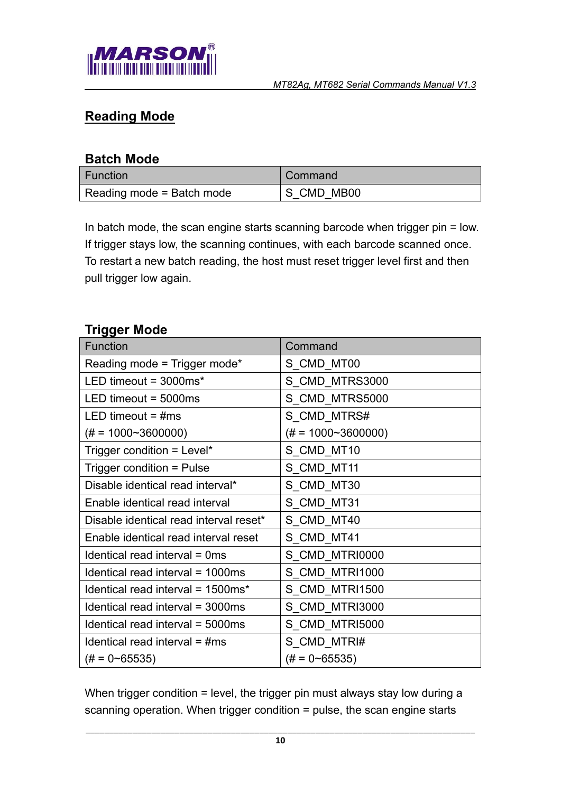

## <span id="page-9-0"></span>**Reading Mode**

#### <span id="page-9-1"></span>**Batch Mode**

| Function                  | Command    |
|---------------------------|------------|
| Reading mode = Batch mode | S CMD MB00 |

In batch mode, the scan engine starts scanning barcode when trigger pin = low. If trigger stays low, the scanning continues, with each barcode scanned once. To restart a new batch reading, the host must reset trigger level first and then pull trigger low again.

#### <span id="page-9-2"></span>**Trigger Mode**

| <b>Function</b>                        | Command                    |
|----------------------------------------|----------------------------|
| Reading mode = Trigger mode*           | S_CMD_MT00                 |
| LED timeout = $3000ms*$                | S CMD MTRS3000             |
| LED timeout = $5000ms$                 | S CMD MTRS5000             |
| LED timeout = $\#$ ms                  | S CMD_MTRS#                |
| $(\# = 1000 \sim 3600000)$             | $(\# = 1000 \sim 3600000)$ |
| Trigger condition = Level*             | S_CMD_MT10                 |
| Trigger condition = Pulse              | S_CMD_MT11                 |
| Disable identical read interval*       | S CMD MT30                 |
| Enable identical read interval         | S CMD MT31                 |
| Disable identical read interval reset* | S CMD MT40                 |
| Enable identical read interval reset   | S_CMD_MT41                 |
| Identical read interval = 0ms          | S CMD MTRI0000             |
| Identical read interval = 1000ms       | S_CMD_MTRI1000             |
| Identical read interval = 1500ms*      | S CMD MTRI1500             |
| Identical read interval = 3000ms       | S CMD MTRI3000             |
| Identical read interval = 5000ms       | S CMD MTRI5000             |
| Identical read interval $=$ #ms        | S_CMD_MTRI#                |
| $(\# = 0 \sim 65535)$                  | $(\# = 0 \sim 65535)$      |

When trigger condition = level, the trigger pin must always stay low during a scanning operation. When trigger condition = pulse, the scan engine starts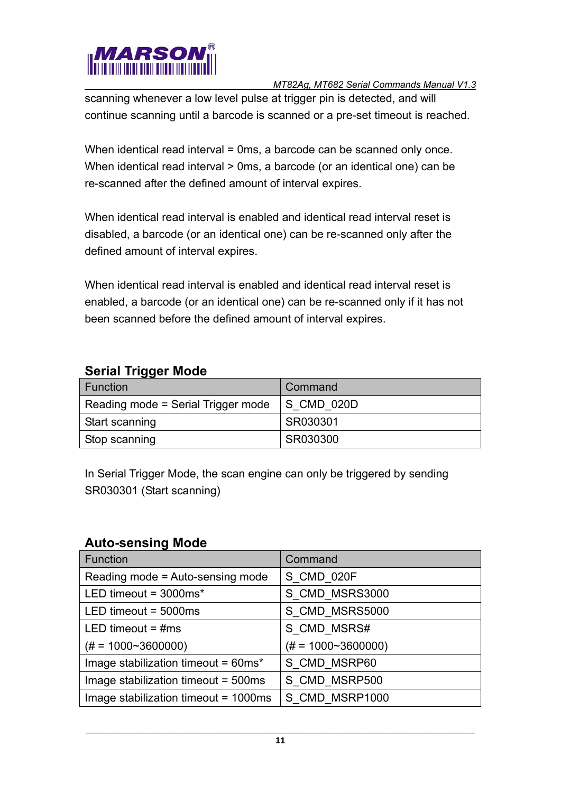

scanning whenever a low level pulse at trigger pin is detected, and will continue scanning until a barcode is scanned or a pre-set timeout is reached.

When identical read interval = 0ms, a barcode can be scanned only once. When identical read interval > 0ms, a barcode (or an identical one) can be re-scanned after the defined amount of interval expires.

When identical read interval is enabled and identical read interval reset is disabled, a barcode (or an identical one) can be re-scanned only after the defined amount of interval expires.

When identical read interval is enabled and identical read interval reset is enabled, a barcode (or an identical one) can be re-scanned only if it has not been scanned before the defined amount of interval expires.

#### <span id="page-10-0"></span>**Serial Trigger Mode**

| <br>Function                       | Command       |
|------------------------------------|---------------|
| Reading mode = Serial Trigger mode | $ S$ CMD 020D |
| Start scanning                     | SR030301      |
| Stop scanning                      | SR030300      |

In Serial Trigger Mode, the scan engine can only be triggered by sending SR030301 (Start scanning)

#### <span id="page-10-1"></span>**Auto-sensing Mode**

| Function                             | Command                    |
|--------------------------------------|----------------------------|
| Reading mode = Auto-sensing mode     | S CMD 020F                 |
| LED timeout = $3000ms*$              | S CMD MSRS3000             |
| LED timeout = $5000ms$               | S_CMD_MSRS5000             |
| LED timeout = $\#$ ms                | S CMD MSRS#                |
| $(\# = 1000 \sim 3600000)$           | $(\# = 1000 \sim 3600000)$ |
| Image stabilization timeout = 60ms*  | S CMD MSRP60               |
| Image stabilization timeout = 500ms  | S CMD MSRP500              |
| Image stabilization timeout = 1000ms | S CMD MSRP1000             |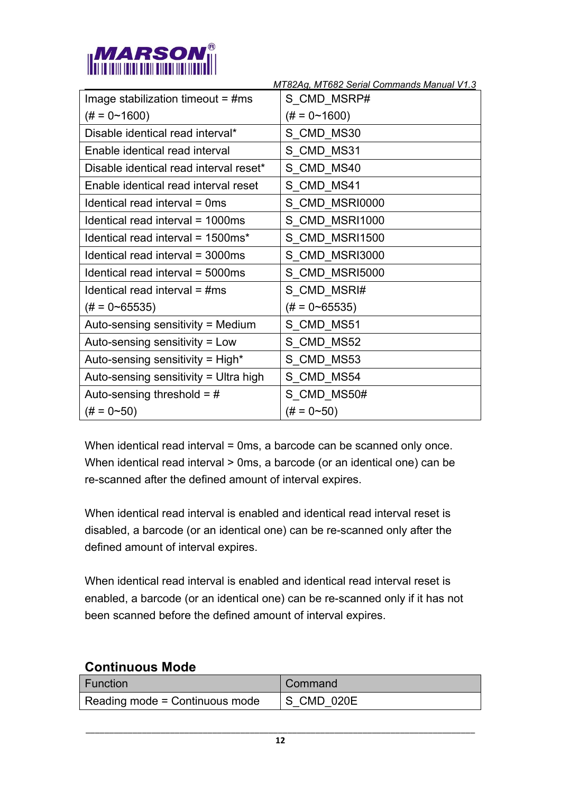

|                                        | MT82Ag, MT682 Serial Commands Manual V1.3 |
|----------------------------------------|-------------------------------------------|
| Image stabilization timeout = $\#ms$   | S_CMD_MSRP#                               |
| $(\# = 0 \sim 1600)$                   | $(\# = 0 \sim 1600)$                      |
| Disable identical read interval*       | S CMD MS30                                |
| Enable identical read interval         | S_CMD_MS31                                |
| Disable identical read interval reset* | S CMD MS40                                |
| Enable identical read interval reset   | S_CMD_MS41                                |
| Identical read interval = 0ms          | S_CMD_MSRI0000                            |
| Identical read interval = 1000ms       | S CMD MSRI1000                            |
| Identical read interval = 1500ms*      | S CMD MSRI1500                            |
| Identical read interval = 3000ms       | S CMD MSRI3000                            |
| Identical read interval = 5000ms       | S CMD MSRI5000                            |
| Identical read interval $=$ #ms        | S CMD MSRI#                               |
| $(\# = 0 \sim 65535)$                  | $(\# = 0 \sim 65535)$                     |
| Auto-sensing sensitivity = Medium      | S CMD MS51                                |
| Auto-sensing sensitivity = Low         | S CMD MS52                                |
| Auto-sensing sensitivity = High*       | S CMD MS53                                |
| Auto-sensing sensitivity = Ultra high  | S CMD MS54                                |
| Auto-sensing threshold = $#$           | S CMD MS50#                               |
| $(\# = 0 \sim 50)$                     | $(\# = 0 \sim 50)$                        |

When identical read interval = 0ms, a barcode can be scanned only once. When identical read interval > 0ms, a barcode (or an identical one) can be re-scanned after the defined amount of interval expires.

When identical read interval is enabled and identical read interval reset is disabled, a barcode (or an identical one) can be re-scanned only after the defined amount of interval expires.

When identical read interval is enabled and identical read interval reset is enabled, a barcode (or an identical one) can be re-scanned only if it has not been scanned before the defined amount of interval expires.

| CONTINUOUS MOUS                |            |
|--------------------------------|------------|
| <b>Function</b>                | Command    |
| Reading mode = Continuous mode | S CMD 020E |

## <span id="page-11-0"></span>**Continuous Mode**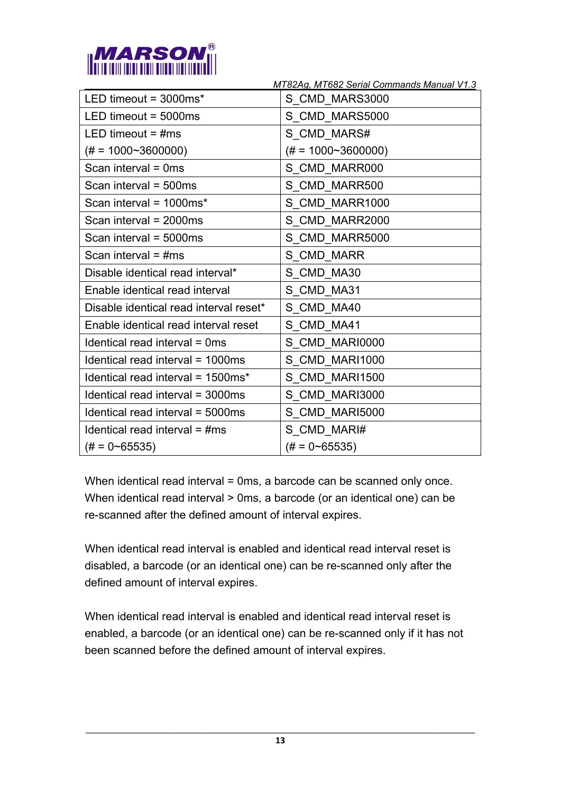

|                                        | MT82Ag, MT682 Serial Commands Manual V1.3 |
|----------------------------------------|-------------------------------------------|
| LED timeout = $3000ms*$                | S CMD MARS3000                            |
| LED timeout $=$ 5000ms                 | S_CMD_MARS5000                            |
| LED timeout = $\#ms$                   | S CMD MARS#                               |
| $(\# = 1000 \sim 3600000)$             | $(\# = 1000 \sim 3600000)$                |
| Scan interval $= 0$ ms                 | S CMD MARR000                             |
| Scan interval = $500ms$                | S CMD MARR500                             |
| Scan interval = 1000ms*                | S CMD MARR1000                            |
| Scan interval = 2000ms                 | S CMD MARR2000                            |
| Scan interval = 5000ms                 | S CMD MARR5000                            |
| Scan interval = $\#ms$                 | S CMD MARR                                |
| Disable identical read interval*       | S CMD MA30                                |
| Enable identical read interval         | S CMD MA31                                |
| Disable identical read interval reset* | S CMD MA40                                |
| Enable identical read interval reset   | S CMD MA41                                |
| Identical read interval = 0ms          | S CMD MARI0000                            |
| Identical read interval = 1000ms       | S CMD MARI1000                            |
| Identical read interval = 1500ms*      | S_CMD_MARI1500                            |
| Identical read interval = 3000ms       | S CMD MARI3000                            |
| Identical read interval = 5000ms       | S CMD MARI5000                            |
| Identical read interval $=$ #ms        | S CMD MARI#                               |
| $(\# = 0 \sim 65535)$                  | $(\# = 0 \sim 65535)$                     |

When identical read interval = 0ms, a barcode can be scanned only once. When identical read interval > 0ms, a barcode (or an identical one) can be re-scanned after the defined amount of interval expires.

When identical read interval is enabled and identical read interval reset is disabled, a barcode (or an identical one) can be re-scanned only after the defined amount of interval expires.

When identical read interval is enabled and identical read interval reset is enabled, a barcode (or an identical one) can be re-scanned only if it has not been scanned before the defined amount of interval expires.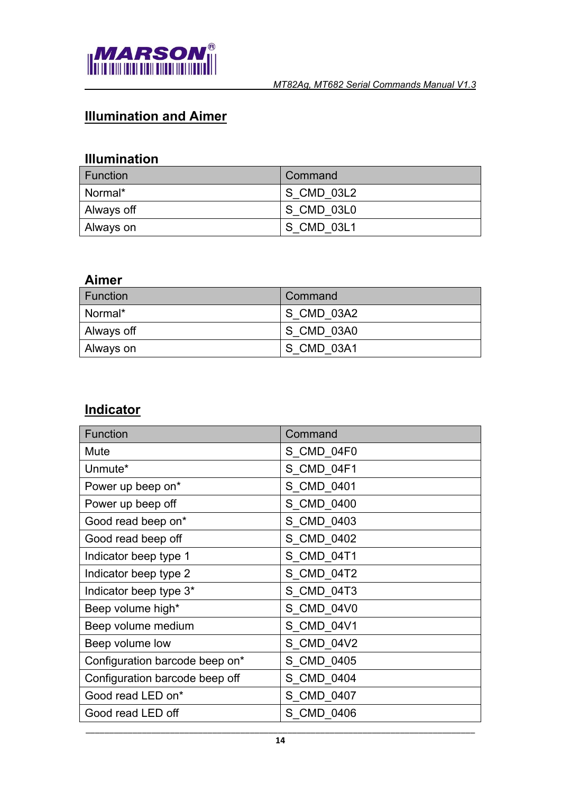

# <span id="page-13-0"></span>**Illumination and Aimer**

## <span id="page-13-1"></span>**Illumination**

| <b>Function</b> | Command    |
|-----------------|------------|
| Normal*         | S CMD 03L2 |
| ∣ Always off    | S CMD 03L0 |
| ∣ Always on     | S CMD 03L1 |

## <span id="page-13-2"></span>**Aimer**

| <b>Function</b> | Command    |
|-----------------|------------|
| Normal*         | S CMD 03A2 |
| ∣ Always off    | S CMD 03A0 |
| ∣ Always on     | S CMD 03A1 |

## <span id="page-13-3"></span>**Indicator**

| <b>Function</b>                | Command    |
|--------------------------------|------------|
| Mute                           | S_CMD_04F0 |
| Unmute*                        | S CMD 04F1 |
| Power up beep on*              | S CMD 0401 |
| Power up beep off              | S_CMD_0400 |
| Good read beep on*             | S CMD 0403 |
| Good read beep off             | S_CMD_0402 |
| Indicator beep type 1          | S CMD 04T1 |
| Indicator beep type 2          | S CMD 04T2 |
| Indicator beep type 3*         | S_CMD_04T3 |
| Beep volume high*              | S CMD 04V0 |
| Beep volume medium             | S_CMD_04V1 |
| Beep volume low                | S CMD 04V2 |
| Configuration barcode beep on* | S CMD 0405 |
| Configuration barcode beep off | S_CMD_0404 |
| Good read LED on*              | S CMD 0407 |
| Good read LED off              | S CMD 0406 |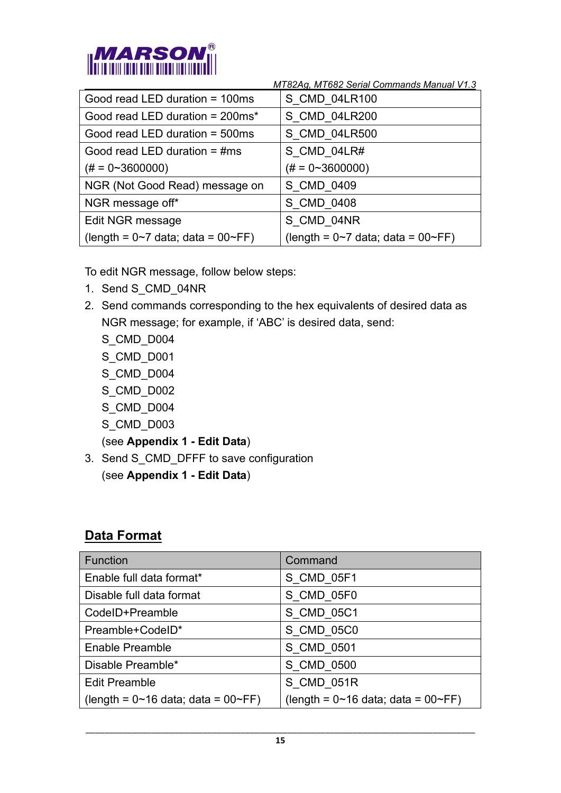

| Good read LED duration = 100ms                 | S CMD 04LR100                                  |
|------------------------------------------------|------------------------------------------------|
| Good read LED duration = $200ms*$              | S CMD 04LR200                                  |
| Good read LED duration = 500ms                 | S_CMD_04LR500                                  |
| Good read LED duration $=$ #ms                 | S CMD 04LR#                                    |
| $(\# = 0 \sim 3600000)$                        | $(\# = 0 \sim 3600000)$                        |
| NGR (Not Good Read) message on                 | S CMD 0409                                     |
| NGR message off*                               | S CMD 0408                                     |
| Edit NGR message                               | S CMD 04NR                                     |
| (length = $0\neg 7$ data; data = $00\neg F$ F) | (length = $0\neg 7$ data; data = $00\neg F$ F) |

To edit NGR message, follow below steps:

- 1. Send S\_CMD\_04NR
- 2. Send commands corresponding to the hex equivalents of desired data as NGR message; for example, if 'ABC' is desired data, send:
	- S\_CMD\_D004
	- S\_CMD\_D001
	- S\_CMD\_D004
	- S\_CMD\_D002
	- S\_CMD\_D004
	- S\_CMD\_D003

(see **Appendix 1 - Edit Data**)

3. Send S CMD DFFF to save configuration (see **Appendix 1 - Edit Data**)

## <span id="page-14-0"></span>**Data Format**

| Function                                | Command                                 |
|-----------------------------------------|-----------------------------------------|
| Enable full data format*                | S CMD 05F1                              |
| Disable full data format                | S CMD 05F0                              |
| CodeID+Preamble                         | S CMD 05C1                              |
| Preamble+CodeID*                        | S CMD 05C0                              |
| Enable Preamble                         | S CMD 0501                              |
| Disable Preamble*                       | S CMD 0500                              |
| <b>Edit Preamble</b>                    | S CMD 051R                              |
| $(length = 0~16$ data; data = $00~F$ F) | $(length = 0~16$ data; data = $00~F$ F) |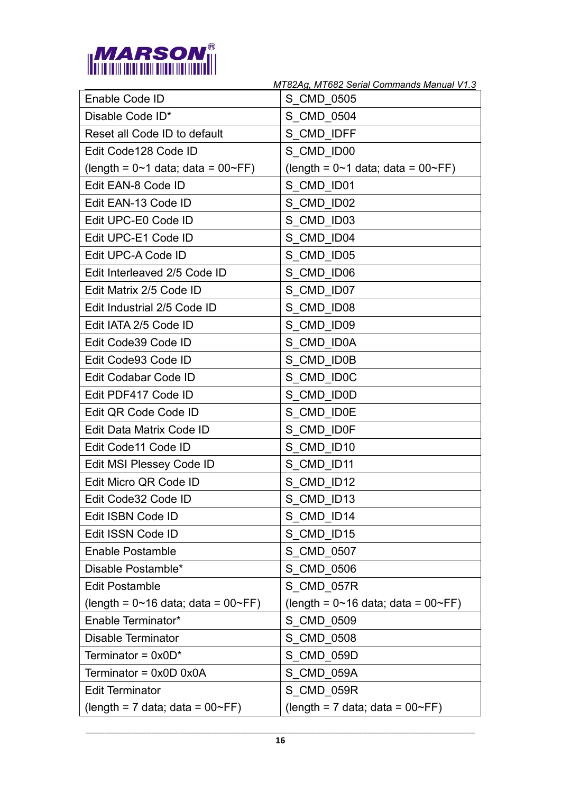

|                                                   | MT82Ag, MT682 Serial Commands Manual V1.3         |
|---------------------------------------------------|---------------------------------------------------|
| Enable Code ID                                    | S CMD 0505                                        |
| Disable Code ID*                                  | S CMD 0504                                        |
| Reset all Code ID to default                      | S CMD IDFF                                        |
| Edit Code128 Code ID                              | S CMD ID00                                        |
| (length = $0 \sim 1$ data; data = $00 \sim FF$ )  | $(length = 0~1$ data; data = $00~F$ F)            |
| Edit EAN-8 Code ID                                | S CMD ID01                                        |
| Edit EAN-13 Code ID                               | S CMD ID02                                        |
| Edit UPC-E0 Code ID                               | S CMD ID03                                        |
| Edit UPC-E1 Code ID                               | S CMD ID04                                        |
| Edit UPC-A Code ID                                | S CMD ID05                                        |
| Edit Interleaved 2/5 Code ID                      | S CMD ID06                                        |
| Edit Matrix 2/5 Code ID                           | S CMD ID07                                        |
| Edit Industrial 2/5 Code ID                       | S CMD ID08                                        |
| Edit IATA 2/5 Code ID                             | S CMD ID09                                        |
| Edit Code39 Code ID                               | S CMD ID0A                                        |
| Edit Code93 Code ID                               | S CMD ID0B                                        |
| Edit Codabar Code ID                              | S CMD ID0C                                        |
| Edit PDF417 Code ID                               | S CMD ID0D                                        |
| Edit QR Code Code ID                              | S CMD ID0E                                        |
| Edit Data Matrix Code ID                          | S CMD ID0F                                        |
| Edit Code11 Code ID                               | S CMD ID10                                        |
| Edit MSI Plessey Code ID                          | S CMD ID11                                        |
| Edit Micro QR Code ID                             | S CMD ID12                                        |
| Edit Code32 Code ID                               | S CMD ID13                                        |
| Edit ISBN Code ID                                 | S CMD ID14                                        |
| Edit ISSN Code ID                                 | S CMD ID15                                        |
| <b>Enable Postamble</b>                           | S CMD 0507                                        |
| Disable Postamble*                                | S CMD 0506                                        |
| <b>Edit Postamble</b>                             | S CMD 057R                                        |
| (length = $0 \sim 16$ data; data = $00 \sim FF$ ) | (length = $0 \sim 16$ data; data = $00 \sim FF$ ) |
| Enable Terminator*                                | S CMD 0509                                        |
| <b>Disable Terminator</b>                         | S CMD 0508                                        |
| Terminator = $0x0D^*$                             | S CMD 059D                                        |
| Terminator = $0x0D$ $0x0A$                        | S CMD 059A                                        |
| <b>Edit Terminator</b>                            | S CMD 059R                                        |
| (length = $7$ data; data = $00~\text{F}$ FF)      | (length = $7$ data; data = $00~\text{F}$ FF)      |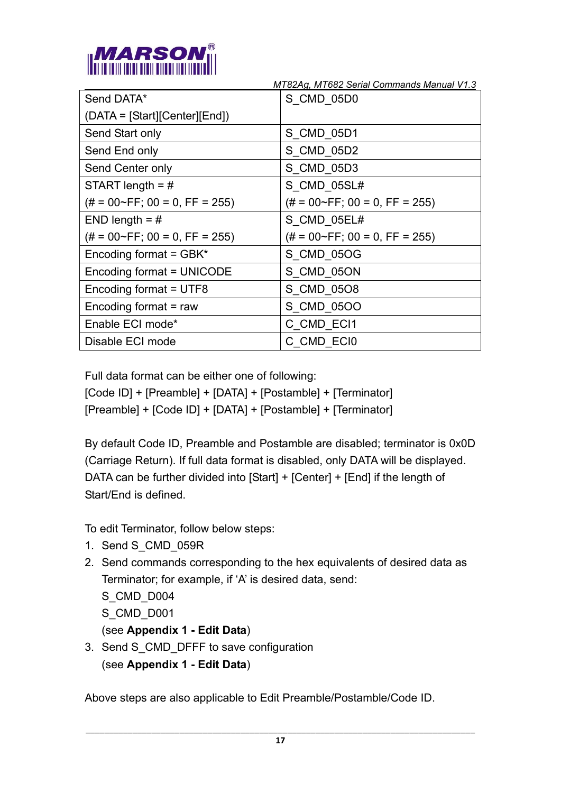

 *MT82Ag, MT682 Serial Commands Manual V1.3* S\_CMD\_05D0

| Send DATA*                             | S CMD 05D0                             |
|----------------------------------------|----------------------------------------|
| (DATA = [Start][Center][End])          |                                        |
| Send Start only                        | S CMD_05D1                             |
| Send End only                          | S CMD 05D2                             |
| Send Center only                       | S CMD_05D3                             |
| START length = $#$                     | S CMD 05SL#                            |
| $(\# = 00 \sim FF$ ; 00 = 0, FF = 255) | $(\# = 00 \sim FF$ ; 00 = 0, FF = 255) |
| END length $=$ #                       | S CMD 05EL#                            |
| $(\# = 00 \sim FF$ ; 00 = 0, FF = 255) | $(\# = 00 \sim FF$ ; 00 = 0, FF = 255) |
| Encoding format = GBK*                 | S CMD 05OG                             |
| Encoding format = UNICODE              | S CMD 05ON                             |
| Encoding format = UTF8                 | S CMD 0508                             |
| Encoding format = raw                  | S CMD_05OO                             |
| Enable ECI mode*                       | C CMD ECI1                             |
| Disable ECI mode                       | C CMD ECI0                             |

Full data format can be either one of following:

[Code ID] + [Preamble] + [DATA] + [Postamble] + [Terminator] [Preamble] + [Code ID] + [DATA] + [Postamble] + [Terminator]

By default Code ID, Preamble and Postamble are disabled; terminator is 0x0D (Carriage Return). If full data format is disabled, only DATA will be displayed. DATA can be further divided into [Start] + [Center] + [End] if the length of Start/End is defined.

To edit Terminator, follow below steps:

- 1. Send S\_CMD\_059R
- 2. Send commands corresponding to the hex equivalents of desired data as Terminator; for example, if 'A' is desired data, send:

S\_CMD\_D004

S\_CMD\_D001

(see **Appendix 1 - Edit Data**)

3. Send S CMD DFFF to save configuration (see **Appendix 1 - Edit Data**)

Above steps are also applicable to Edit Preamble/Postamble/Code ID.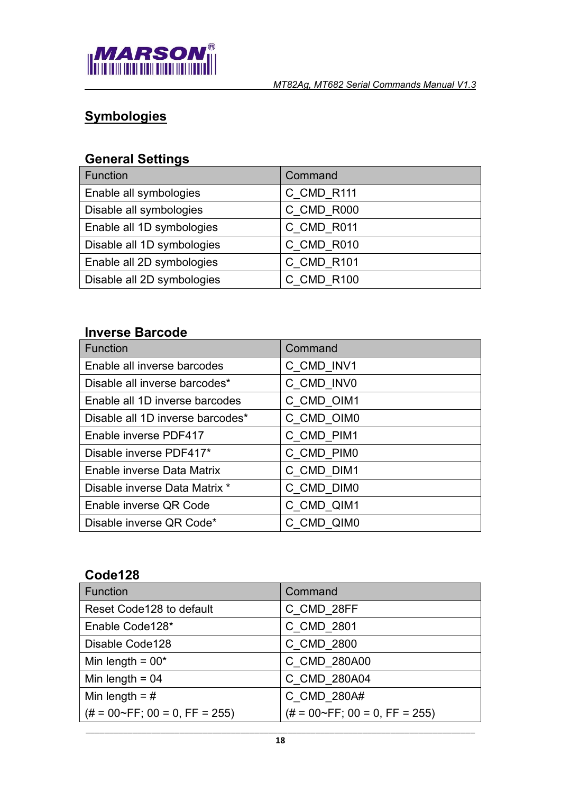

# <span id="page-17-0"></span>**Symbologies**

## <span id="page-17-1"></span>**General Settings**

| Function                   | Command    |
|----------------------------|------------|
| Enable all symbologies     | C_CMD_R111 |
| Disable all symbologies    | C CMD R000 |
| Enable all 1D symbologies  | C_CMD_R011 |
| Disable all 1D symbologies | C_CMD_R010 |
| Enable all 2D symbologies  | C CMD R101 |
| Disable all 2D symbologies | C CMD R100 |

### <span id="page-17-2"></span>**Inverse Barcode**

| Function                         | Command    |
|----------------------------------|------------|
| Enable all inverse barcodes      | C CMD INV1 |
| Disable all inverse barcodes*    | C CMD INVO |
| Enable all 1D inverse barcodes   | C CMD OIM1 |
| Disable all 1D inverse barcodes* | C CMD OIM0 |
| Enable inverse PDF417            | C CMD PIM1 |
| Disable inverse PDF417*          | C CMD PIM0 |
| Enable inverse Data Matrix       | C CMD DIM1 |
| Disable inverse Data Matrix *    | C CMD DIM0 |
| Enable inverse QR Code           | C CMD QIM1 |
| Disable inverse QR Code*         | C CMD QIM0 |

#### <span id="page-17-3"></span>**Code128**

| <b>Function</b>                        | Command                                |
|----------------------------------------|----------------------------------------|
| Reset Code128 to default               | C CMD 28FF                             |
| Enable Code128*                        | C CMD 2801                             |
| Disable Code128                        | C CMD 2800                             |
| Min length = $00*$                     | C CMD 280A00                           |
| Min length = $04$                      | C CMD 280A04                           |
| Min length = $#$                       | C CMD 280A#                            |
| $(\# = 00 \sim FF$ ; 00 = 0, FF = 255) | $(\# = 00 \sim FF$ ; 00 = 0, FF = 255) |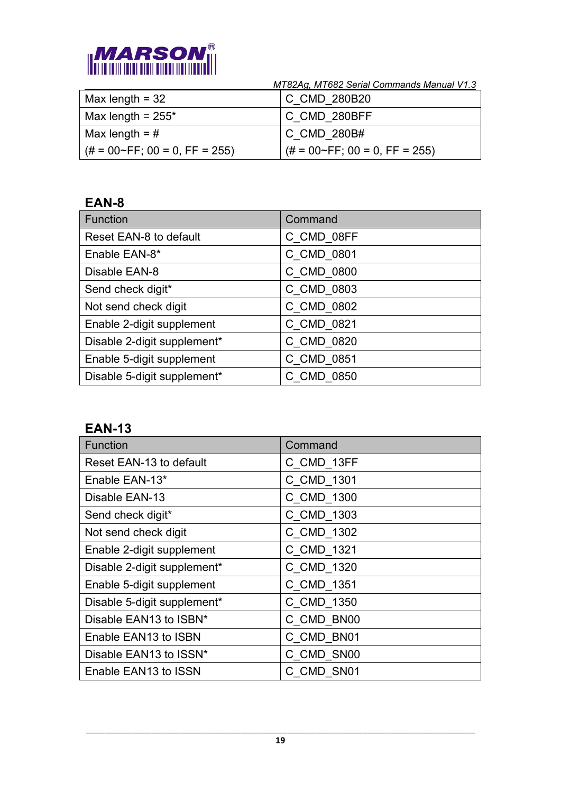

| $\vert$ Max length = 32                | C CMD 280B20                           |
|----------------------------------------|----------------------------------------|
| Max length = $255^*$                   | C CMD 280BFF                           |
| Max length = #                         | C CMD 280B#                            |
| $(# = 00~\text{FF}; 00 = 0, FF = 255)$ | $(\# = 00 \sim FF$ ; 00 = 0, FF = 255) |

#### <span id="page-18-0"></span>**EAN-8**

| Function                      | Command    |
|-------------------------------|------------|
| <b>Reset EAN-8 to default</b> | C CMD 08FF |
| Enable EAN-8*                 | C CMD 0801 |
| Disable EAN-8                 | C CMD 0800 |
| Send check digit*             | C CMD 0803 |
| Not send check digit          | C CMD 0802 |
| Enable 2-digit supplement     | C CMD 0821 |
| Disable 2-digit supplement*   | C CMD 0820 |
| Enable 5-digit supplement     | C CMD 0851 |
| Disable 5-digit supplement*   | C CMD 0850 |

#### <span id="page-18-1"></span>**EAN-13**

| <b>Function</b>             | Command    |
|-----------------------------|------------|
| Reset EAN-13 to default     | C_CMD_13FF |
| Enable EAN-13*              | C CMD 1301 |
| Disable EAN-13              | C CMD 1300 |
| Send check digit*           | C_CMD_1303 |
| Not send check digit        | C_CMD_1302 |
| Enable 2-digit supplement   | C CMD 1321 |
| Disable 2-digit supplement* | C_CMD_1320 |
| Enable 5-digit supplement   | C CMD 1351 |
| Disable 5-digit supplement* | C CMD 1350 |
| Disable EAN13 to ISBN*      | C CMD BN00 |
| Enable EAN13 to ISBN        | C CMD BN01 |
| Disable EAN13 to ISSN*      | C CMD SN00 |
| Enable EAN13 to ISSN        | C CMD SN01 |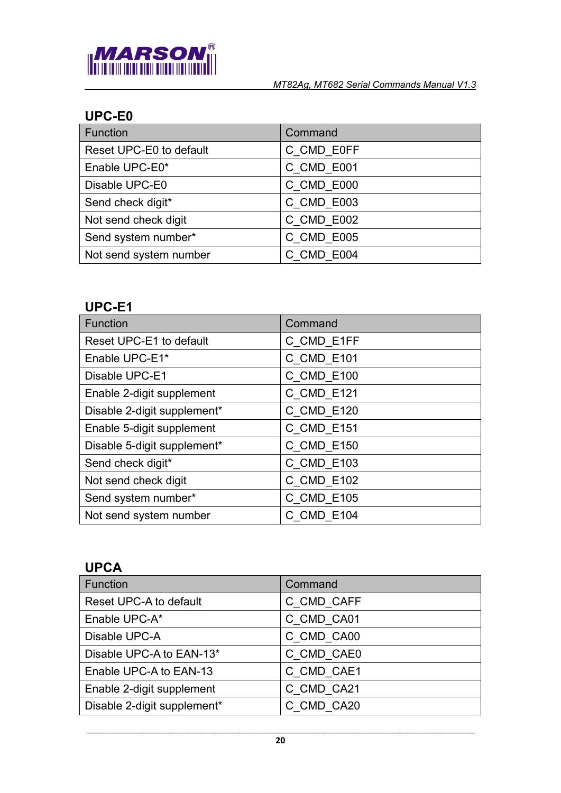

## <span id="page-19-0"></span>**UPC-E0**

| Function                | Command    |
|-------------------------|------------|
| Reset UPC-E0 to default | C_CMD_E0FF |
| Enable UPC-E0*          | C CMD E001 |
| Disable UPC-E0          | C CMD E000 |
| Send check digit*       | C CMD E003 |
| Not send check digit    | C_CMD_E002 |
| Send system number*     | C CMD E005 |
| Not send system number  | C CMD E004 |

## <span id="page-19-1"></span>**UPC-E1**

| Function                    | Command    |
|-----------------------------|------------|
| Reset UPC-E1 to default     | C CMD E1FF |
| Enable UPC-E1*              | C CMD E101 |
| Disable UPC-E1              | C CMD E100 |
| Enable 2-digit supplement   | C CMD E121 |
| Disable 2-digit supplement* | C CMD_E120 |
| Enable 5-digit supplement   | C CMD E151 |
| Disable 5-digit supplement* | C CMD E150 |
| Send check digit*           | C CMD E103 |
| Not send check digit        | C_CMD_E102 |
| Send system number*         | C_CMD_E105 |
| Not send system number      | C CMD E104 |

## <span id="page-19-2"></span>**UPCA**

| <b>Function</b>             | Command    |
|-----------------------------|------------|
| Reset UPC-A to default      | C CMD CAFF |
| Enable UPC-A*               | C CMD CA01 |
| Disable UPC-A               | C CMD CA00 |
| Disable UPC-A to EAN-13*    | C CMD CAE0 |
| Enable UPC-A to EAN-13      | C CMD CAE1 |
| Enable 2-digit supplement   | C CMD CA21 |
| Disable 2-digit supplement* | C CMD CA20 |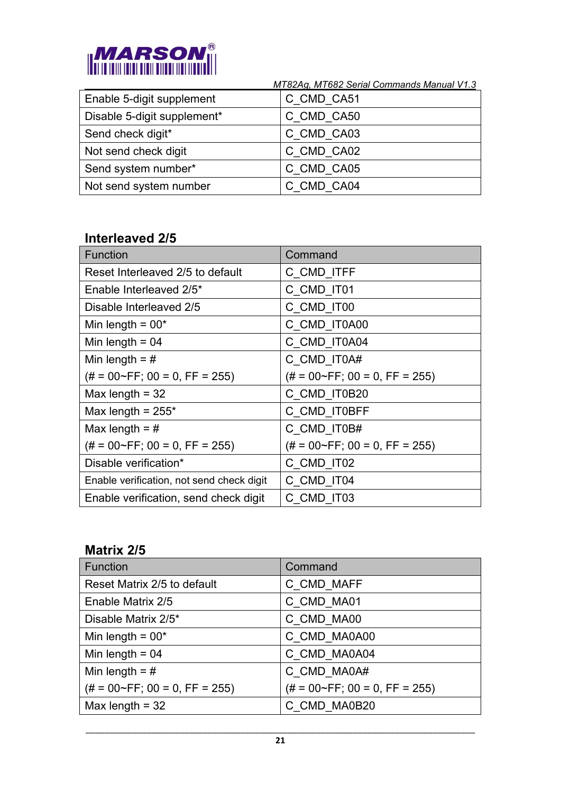

|                             | MT82Ag, MT682 Serial Commands Manual V1.3 |
|-----------------------------|-------------------------------------------|
| Enable 5-digit supplement   | C CMD CA51                                |
| Disable 5-digit supplement* | C CMD CA50                                |
| Send check digit*           | C CMD CA03                                |
| Not send check digit        | C CMD CA02                                |
| Send system number*         | C CMD CA05                                |
| Not send system number      | C CMD CA04                                |

## <span id="page-20-0"></span>**Interleaved 2/5**

| <b>Function</b>                           | Command                                |
|-------------------------------------------|----------------------------------------|
| Reset Interleaved 2/5 to default          | C_CMD_ITFF                             |
| Enable Interleaved 2/5*                   | C CMD_IT01                             |
| Disable Interleaved 2/5                   | C_CMD_IT00                             |
| Min length = $00*$                        | C_CMD_IT0A00                           |
| Min length $= 04$                         | C_CMD_IT0A04                           |
| Min length = $#$                          | C CMD IT0A#                            |
| $(\# = 00 \sim FF$ ; 00 = 0, FF = 255)    | $(\# = 00 \sim FF$ ; 00 = 0, FF = 255) |
| Max length $=$ 32                         | C_CMD_IT0B20                           |
| Max length = $255*$                       | C_CMD_IT0BFF                           |
| Max length = $#$                          | C CMD_IT0B#                            |
| $(\# = 00 \sim FF$ ; 00 = 0, FF = 255)    | $(\# = 00 \sim FF$ ; 00 = 0, FF = 255) |
| Disable verification*                     | C CMD IT02                             |
| Enable verification, not send check digit | C CMD IT04                             |
| Enable verification, send check digit     | C CMD IT03                             |

#### <span id="page-20-1"></span>**Matrix 2/5**

| Function                               | Command                                |
|----------------------------------------|----------------------------------------|
| Reset Matrix 2/5 to default            | C CMD MAFF                             |
| Enable Matrix 2/5                      | C CMD MA01                             |
| Disable Matrix 2/5*                    | C CMD MA00                             |
| Min length = $00*$                     | C CMD MA0A00                           |
| Min length = $04$                      | C CMD MA0A04                           |
| Min length = $#$                       | C CMD MA0A#                            |
| $(\# = 00 \sim FF$ ; 00 = 0, FF = 255) | $(\# = 00 \sim FF$ ; 00 = 0, FF = 255) |
| Max length $=$ 32                      | C CMD MA0B20                           |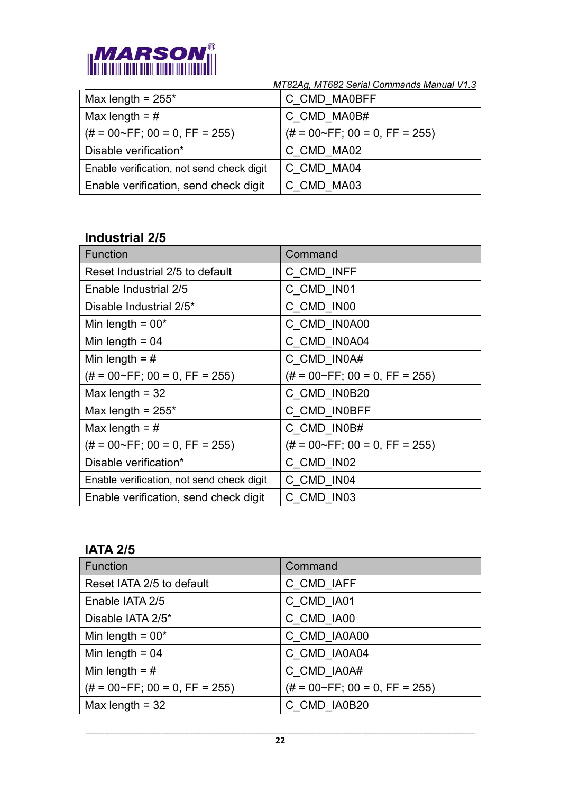

| Max length = $255*$                       | C_CMD_MA0BFF                           |
|-------------------------------------------|----------------------------------------|
| Max length = $#$                          | C CMD MA0B#                            |
| $(\# = 00 \sim FF$ ; 00 = 0, FF = 255)    | $(\# = 00 \sim FF$ ; 00 = 0, FF = 255) |
| Disable verification*                     | C CMD MA02                             |
| Enable verification, not send check digit | C CMD MA04                             |
| Enable verification, send check digit     | C CMD MA03                             |

## <span id="page-21-0"></span>**Industrial 2/5**

| <b>Function</b>                           | Command                                |
|-------------------------------------------|----------------------------------------|
| Reset Industrial 2/5 to default           | C CMD INFF                             |
| Enable Industrial 2/5                     | C CMD IN01                             |
| Disable Industrial 2/5*                   | C CMD IN00                             |
| Min length = $00*$                        | C_CMD_IN0A00                           |
| Min length = $04$                         | C_CMD_IN0A04                           |
| Min length = $#$                          | C CMD IN0A#                            |
| $(\# = 00 \sim FF$ ; 00 = 0, FF = 255)    | $(\# = 00 \sim FF$ ; 00 = 0, FF = 255) |
| Max length $=$ 32                         | C_CMD_IN0B20                           |
| Max length = $255*$                       | C_CMD_IN0BFF                           |
| Max length = $#$                          | C CMD IN0B#                            |
| $(\# = 00 \sim FF$ ; 00 = 0, FF = 255)    | $(\# = 00 \sim FF$ ; 00 = 0, FF = 255) |
| Disable verification*                     | C CMD IN02                             |
| Enable verification, not send check digit | C CMD IN04                             |
| Enable verification, send check digit     | C CMD IN03                             |

#### <span id="page-21-1"></span>**IATA 2/5**

| Function                               | Command                                |
|----------------------------------------|----------------------------------------|
| Reset IATA 2/5 to default              | C CMD IAFF                             |
| Enable IATA 2/5                        | C CMD IA01                             |
| Disable IATA 2/5*                      | C CMD IA00                             |
| Min length = $00*$                     | C CMD_IA0A00                           |
| Min length = $04$                      | C CMD IA0A04                           |
| Min length = $#$                       | C CMD_IA0A#                            |
| $(\# = 00 \sim FF$ ; 00 = 0, FF = 255) | $(\# = 00 \sim FF$ ; 00 = 0, FF = 255) |
| Max length $=$ 32                      | C CMD IA0B20                           |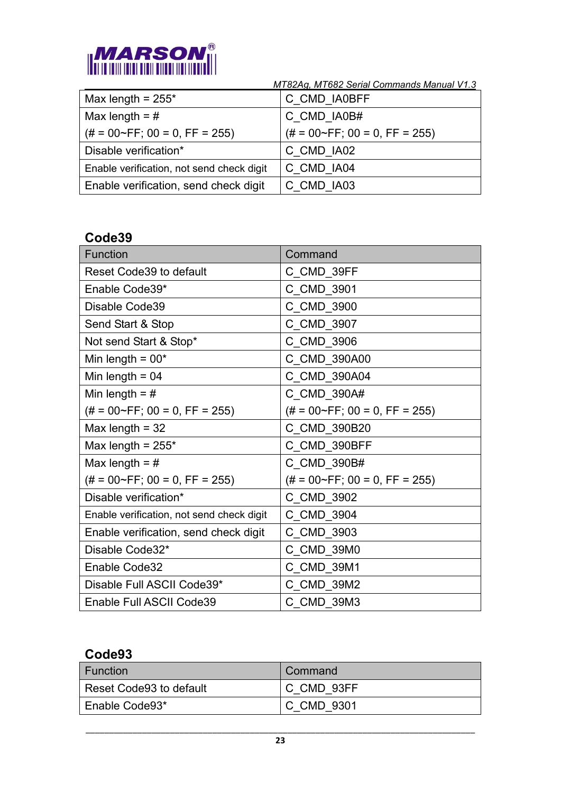

| Max length = $255*$                       | C_CMD_IA0BFF                           |
|-------------------------------------------|----------------------------------------|
| Max length = $#$                          | C CMD IA0B#                            |
| $(\# = 00 \sim FF$ ; 00 = 0, FF = 255)    | $(\# = 00 \sim FF$ ; 00 = 0, FF = 255) |
| Disable verification*                     | C CMD IA02                             |
| Enable verification, not send check digit | C CMD IA04                             |
| Enable verification, send check digit     | C CMD IA03                             |

#### <span id="page-22-0"></span>**Code39**

| <b>Function</b>                           | Command                                |
|-------------------------------------------|----------------------------------------|
| <b>Reset Code39 to default</b>            | C CMD 39FF                             |
| Enable Code39*                            | C_CMD_3901                             |
| Disable Code39                            | C_CMD_3900                             |
| Send Start & Stop                         | C CMD 3907                             |
| Not send Start & Stop*                    | C_CMD_3906                             |
| Min length = $00*$                        | C CMD 390A00                           |
| Min length = $04$                         | C CMD 390A04                           |
| Min length = $#$                          | C_CMD_390A#                            |
| $(\# = 00 \sim FF$ ; 00 = 0, FF = 255)    | $(\# = 00 \sim FF$ ; 00 = 0, FF = 255) |
| Max length $=$ 32                         | C_CMD_390B20                           |
| Max length = $255*$                       | C CMD 390BFF                           |
| Max length = $#$                          | C_CMD_390B#                            |
| $(\# = 00 \sim FF$ ; 00 = 0, FF = 255)    | $(\# = 00 \sim FF$ ; 00 = 0, FF = 255) |
| Disable verification*                     | C_CMD_3902                             |
| Enable verification, not send check digit | C_CMD_3904                             |
| Enable verification, send check digit     | C CMD 3903                             |
| Disable Code32*                           | C_CMD_39M0                             |
| Enable Code32                             | C_CMD_39M1                             |
| Disable Full ASCII Code39*                | C CMD 39M2                             |
| Enable Full ASCII Code39                  | C CMD 39M3                             |

#### <span id="page-22-1"></span>**Code93**

| Function                  | Command    |
|---------------------------|------------|
| l Reset Code93 to default | C CMD 93FF |
| Enable Code93*            | C CMD 9301 |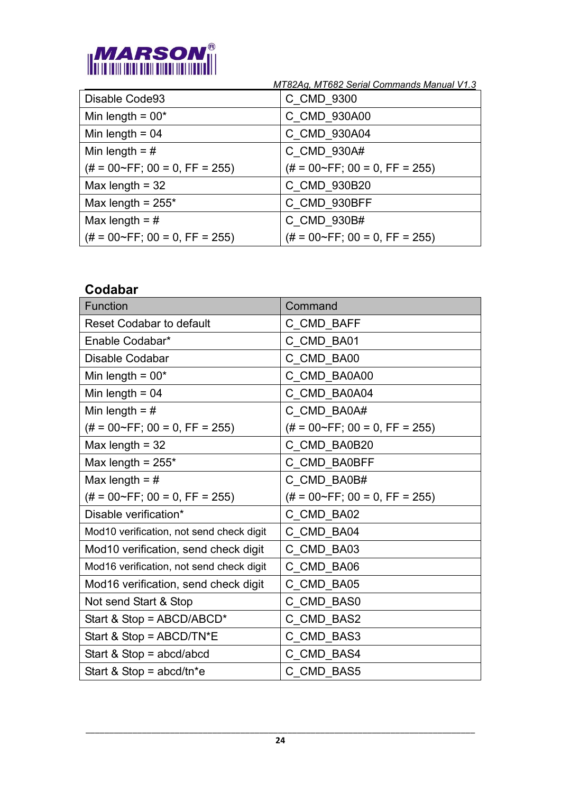

| Disable Code93                         | C_CMD_9300                             |
|----------------------------------------|----------------------------------------|
| Min length = $00*$                     | C_CMD_930A00                           |
| Min length = $04$                      | C CMD 930A04                           |
| Min length = $#$                       | C CMD_930A#                            |
| $(\# = 00 \sim FF$ ; 00 = 0, FF = 255) | $(\# = 00 \sim FF$ ; 00 = 0, FF = 255) |
| Max length $=$ 32                      | C CMD 930B20                           |
| Max length = $255*$                    | C CMD 930BFF                           |
| Max length = $#$                       | C CMD 930B#                            |
| $(\# = 00 \sim FF$ ; 00 = 0, FF = 255) | $(\# = 00 \sim FF$ ; 00 = 0, FF = 255) |

## <span id="page-23-0"></span>**Codabar**

| <b>Function</b>                          | Command                                |
|------------------------------------------|----------------------------------------|
| <b>Reset Codabar to default</b>          | C_CMD_BAFF                             |
| Enable Codabar*                          | C_CMD_BA01                             |
| Disable Codabar                          | C CMD BA00                             |
| Min length = $00*$                       | C_CMD_BA0A00                           |
| Min length = $04$                        | C CMD BA0A04                           |
| Min length = $#$                         | C CMD BA0A#                            |
| $(\# = 00 \sim FF; 00 = 0, FF = 255)$    | $(\# = 00 \sim FF$ ; 00 = 0, FF = 255) |
| Max length = $32$                        | C_CMD_BA0B20                           |
| Max length = $255*$                      | C CMD BA0BFF                           |
| Max length = $#$                         | C_CMD_BA0B#                            |
| $(\# = 00 \sim FF$ ; 00 = 0, FF = 255)   | $(\# = 00 \sim FF$ ; 00 = 0, FF = 255) |
| Disable verification*                    | C CMD BA02                             |
| Mod10 verification, not send check digit | C_CMD_BA04                             |
| Mod10 verification, send check digit     | C CMD BA03                             |
| Mod16 verification, not send check digit | C CMD BA06                             |
| Mod16 verification, send check digit     | C_CMD_BA05                             |
| Not send Start & Stop                    | C CMD BAS0                             |
| Start & Stop = ABCD/ABCD*                | C_CMD_BAS2                             |
| Start & Stop = $ABCD/TN^*E$              | C CMD_BAS3                             |
| Start & Stop = $abcd/abcd$               | C CMD BAS4                             |
| Start & Stop = $abcd/tn*e$               | C CMD BAS5                             |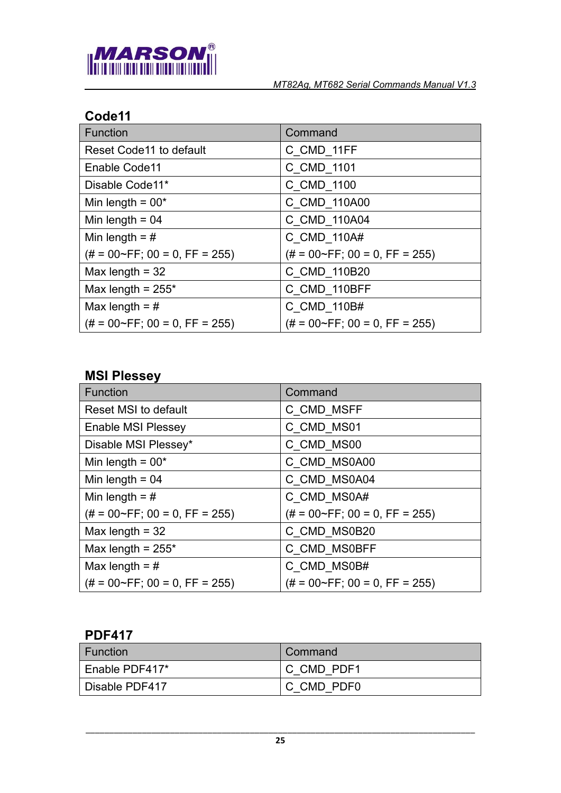

## <span id="page-24-0"></span>**Code11**

| <b>Function</b>                        | Command                                |
|----------------------------------------|----------------------------------------|
| <b>Reset Code11 to default</b>         | C CMD 11FF                             |
| Enable Code11                          | C CMD 1101                             |
| Disable Code11*                        | C CMD 1100                             |
| Min length = $00*$                     | C CMD 110A00                           |
| Min length = $04$                      | C CMD 110A04                           |
| Min length = $#$                       | C CMD 110A#                            |
| $(\# = 00 \sim FF$ ; 00 = 0, FF = 255) | $(\# = 00 \sim FF$ ; 00 = 0, FF = 255) |
| Max length $=$ 32                      | C CMD 110B20                           |
| Max length = $255*$                    | C CMD 110BFF                           |
| Max length = $#$                       | C CMD 110B#                            |
| $(\# = 00 \sim FF$ ; 00 = 0, FF = 255) | $(\# = 00 \sim FF$ ; 00 = 0, FF = 255) |

## <span id="page-24-1"></span>**MSI Plessey**

| Function                               | Command                                |
|----------------------------------------|----------------------------------------|
| <b>Reset MSI to default</b>            | C CMD MSFF                             |
| <b>Enable MSI Plessey</b>              | C_CMD_MS01                             |
| Disable MSI Plessey*                   | C CMD_MS00                             |
| Min length = $00*$                     | C CMD MS0A00                           |
| Min length = $04$                      | C CMD MS0A04                           |
| Min length = $#$                       | C CMD MS0A#                            |
| $(\# = 00 \sim FF$ ; 00 = 0, FF = 255) | $(\# = 00 \sim FF$ ; 00 = 0, FF = 255) |
| Max length $=$ 32                      | C CMD MS0B20                           |
| Max length = $255*$                    | C CMD MS0BFF                           |
| Max length = $#$                       | C CMD MS0B#                            |
| $(\# = 00 \sim FF$ ; 00 = 0, FF = 255) | $(\# = 00 \sim FF$ ; 00 = 0, FF = 255) |

## <span id="page-24-2"></span>**PDF417**

| l Function     | Command    |
|----------------|------------|
| Enable PDF417* | C CMD PDF1 |
| Disable PDF417 | C CMD PDF0 |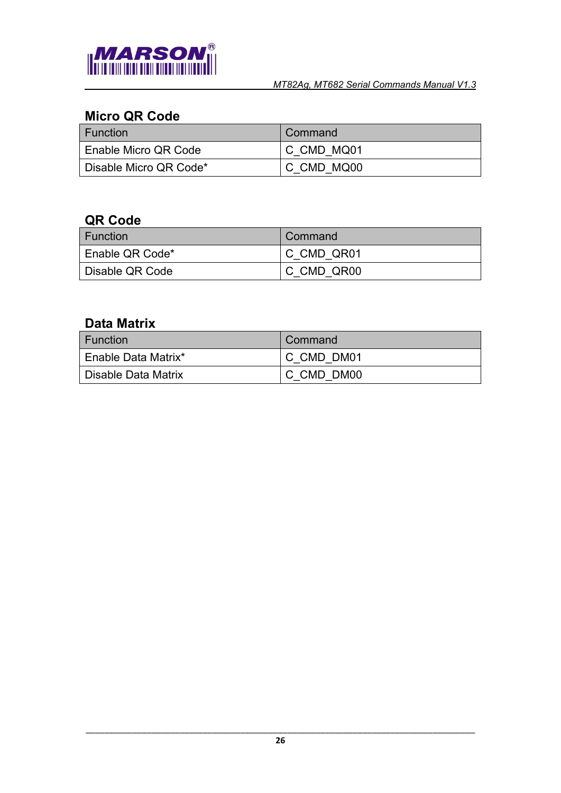

## <span id="page-25-0"></span>**Micro QR Code**

| <b>Function</b>        | Command    |
|------------------------|------------|
| Enable Micro QR Code   | C CMD MQ01 |
| Disable Micro QR Code* | C CMD MQ00 |

#### <span id="page-25-1"></span>**QR Code**

| ∣ Function      | Command    |
|-----------------|------------|
| Enable QR Code* | C CMD QR01 |
| Disable QR Code | C CMD QR00 |

## <span id="page-25-2"></span>**Data Matrix**

| <b>Function</b>       | Command    |
|-----------------------|------------|
| LEnable Data Matrix*  | C CMD DM01 |
| l Disable Data Matrix | C CMD DM00 |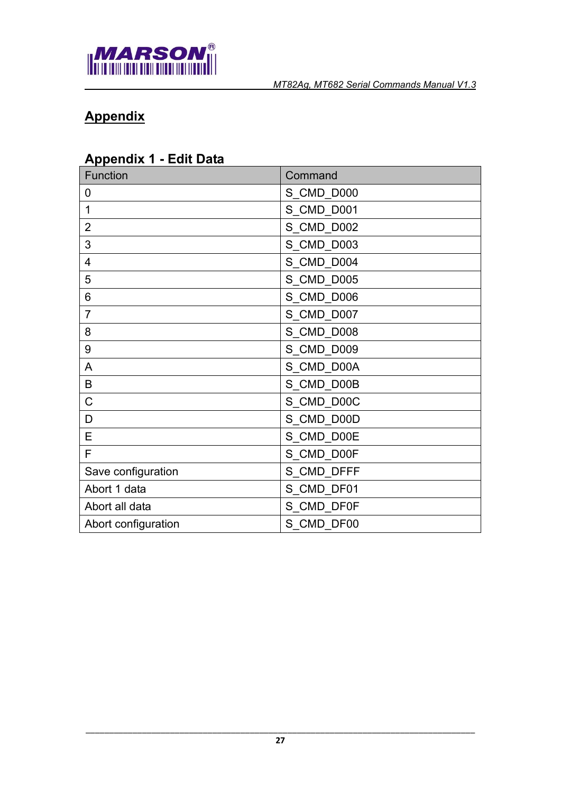

# <span id="page-26-0"></span>**Appendix**

## <span id="page-26-1"></span>**Appendix 1 - Edit Data**

| <b>Function</b>     | Command    |
|---------------------|------------|
| 0                   | S_CMD_D000 |
| 1                   | S_CMD_D001 |
| $\overline{2}$      | S_CMD_D002 |
| 3                   | S_CMD_D003 |
| 4                   | S_CMD_D004 |
| 5                   | S_CMD_D005 |
| 6                   | S_CMD_D006 |
| $\overline{7}$      | S_CMD_D007 |
| 8                   | S_CMD_D008 |
| 9                   | S_CMD_D009 |
| A                   | S_CMD_D00A |
| B                   | S_CMD_D00B |
| $\mathsf C$         | S_CMD_D00C |
| D                   | S_CMD_D00D |
| E                   | S_CMD_D00E |
| F                   | S_CMD_D00F |
| Save configuration  | S_CMD_DFFF |
| Abort 1 data        | S_CMD_DF01 |
| Abort all data      | S_CMD_DF0F |
| Abort configuration | S_CMD_DF00 |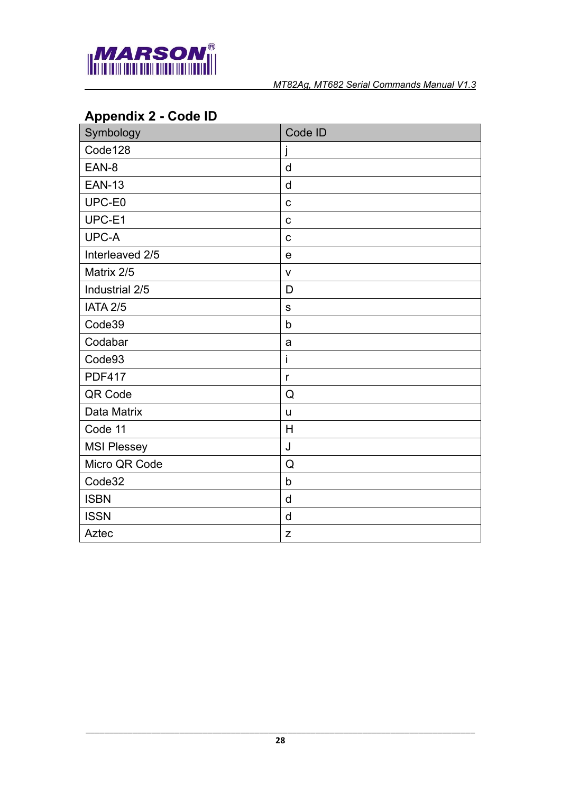

# <span id="page-27-0"></span>**Appendix 2 - Code ID**

| Symbology          | Code ID      |
|--------------------|--------------|
| Code128            | j            |
| EAN-8              | d            |
| <b>EAN-13</b>      | d            |
| UPC-E0             | $\mathbf C$  |
| UPC-E1             | $\mathbf C$  |
| UPC-A              | $\mathbf C$  |
| Interleaved 2/5    | e            |
| Matrix 2/5         | $\mathsf{V}$ |
| Industrial 2/5     | D            |
| <b>IATA 2/5</b>    | $\mathsf S$  |
| Code39             | $\mathsf b$  |
| Codabar            | a            |
| Code93             | İ            |
| <b>PDF417</b>      | $\mathsf{r}$ |
| QR Code            | Q            |
| Data Matrix        | u            |
| Code 11            | H            |
| <b>MSI Plessey</b> | J            |
| Micro QR Code      | Q            |
| Code32             | $\mathsf b$  |
| <b>ISBN</b>        | d            |
| <b>ISSN</b>        | d            |
| Aztec              | $\mathsf Z$  |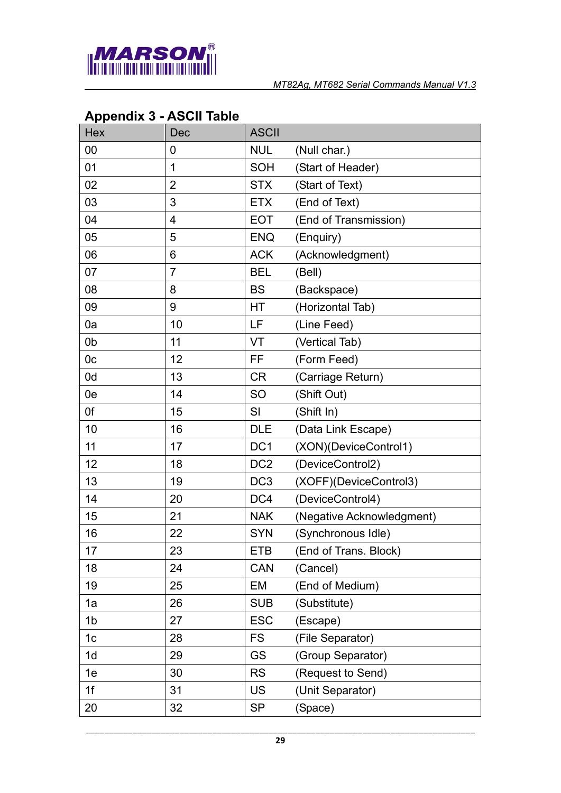

| <b>Hex</b>     | Dec            | <b>ASCII</b>    |                           |
|----------------|----------------|-----------------|---------------------------|
| 00             | 0              | <b>NUL</b>      | (Null char.)              |
| 01             | $\overline{1}$ | <b>SOH</b>      | (Start of Header)         |
| 02             | $\overline{2}$ | <b>STX</b>      | (Start of Text)           |
| 03             | 3              | <b>ETX</b>      | (End of Text)             |
| 04             | 4              | <b>EOT</b>      | (End of Transmission)     |
| 05             | 5              | <b>ENQ</b>      | (Enquiry)                 |
| 06             | 6              | <b>ACK</b>      | (Acknowledgment)          |
| 07             | $\overline{7}$ | <b>BEL</b>      | (Bell)                    |
| 08             | 8              | <b>BS</b>       | (Backspace)               |
| 09             | 9              | HT              | (Horizontal Tab)          |
| 0a             | 10             | LF              | (Line Feed)               |
| 0b             | 11             | VT              | (Vertical Tab)            |
| 0 <sub>c</sub> | 12             | FF              | (Form Feed)               |
| 0 <sub>d</sub> | 13             | <b>CR</b>       | (Carriage Return)         |
| 0e             | 14             | SO              | (Shift Out)               |
| 0f             | 15             | SI              | (Shift In)                |
| 10             | 16             | <b>DLE</b>      | (Data Link Escape)        |
| 11             | 17             | DC <sub>1</sub> | (XON)(DeviceControl1)     |
| 12             | 18             | DC <sub>2</sub> | (DeviceControl2)          |
| 13             | 19             | DC <sub>3</sub> | (XOFF)(DeviceControl3)    |
| 14             | 20             | DC4             | (DeviceControl4)          |
| 15             | 21             | <b>NAK</b>      | (Negative Acknowledgment) |
| 16             | 22             | <b>SYN</b>      | (Synchronous Idle)        |
| 17             | 23             | <b>ETB</b>      | (End of Trans. Block)     |
| 18             | 24             | <b>CAN</b>      | (Cancel)                  |
| 19             | 25             | EM              | (End of Medium)           |
| 1a             | 26             | <b>SUB</b>      | (Substitute)              |
| 1b             | 27             | <b>ESC</b>      | (Escape)                  |
| 1 <sub>c</sub> | 28             | <b>FS</b>       | (File Separator)          |
| 1 <sub>d</sub> | 29             | <b>GS</b>       | (Group Separator)         |
| 1e             | 30             | <b>RS</b>       | (Request to Send)         |
| 1f             | 31             | <b>US</b>       | (Unit Separator)          |
| 20             | 32             | <b>SP</b>       | (Space)                   |

## <span id="page-28-0"></span>**Appendix 3 - ASCII Table**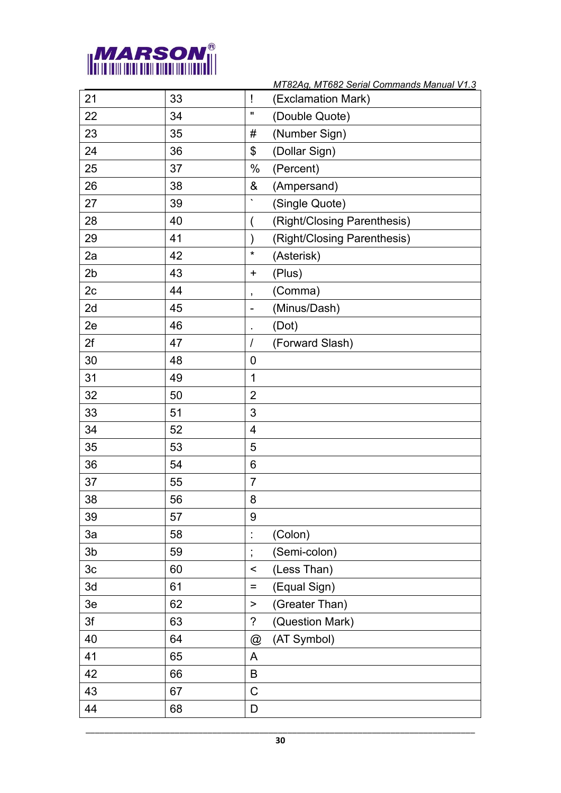

|                |    |                           | MT82Ag, MT682 Serial Commands Manual V1.3 |
|----------------|----|---------------------------|-------------------------------------------|
| 21             | 33 | Ţ                         | (Exclamation Mark)                        |
| 22             | 34 | $\pmb{\mathsf{u}}$        | (Double Quote)                            |
| 23             | 35 | #                         | (Number Sign)                             |
| 24             | 36 | \$                        | (Dollar Sign)                             |
| 25             | 37 | $\%$                      | (Percent)                                 |
| 26             | 38 | &                         | (Ampersand)                               |
| 27             | 39 |                           | (Single Quote)                            |
| 28             | 40 |                           | (Right/Closing Parenthesis)               |
| 29             | 41 | $\mathcal{E}$             | (Right/Closing Parenthesis)               |
| 2a             | 42 | $\star$                   | (Asterisk)                                |
| 2 <sub>b</sub> | 43 | $\ddot{}$                 | (Plus)                                    |
| 2c             | 44 | $\pmb{\mathfrak{z}}$      | (Comma)                                   |
| 2d             | 45 | $\overline{\phantom{a}}$  | (Minus/Dash)                              |
| 2e             | 46 |                           | (Dot)                                     |
| 2f             | 47 | $\sqrt{ }$                | (Forward Slash)                           |
| 30             | 48 | $\overline{0}$            |                                           |
| 31             | 49 | $\mathbf 1$               |                                           |
| 32             | 50 | $\overline{2}$            |                                           |
| 33             | 51 | 3                         |                                           |
| 34             | 52 | $\overline{4}$            |                                           |
| 35             | 53 | 5                         |                                           |
| 36             | 54 | 6                         |                                           |
| 37             | 55 | $\overline{7}$            |                                           |
| 38             | 56 | 8                         |                                           |
| 39             | 57 | 9                         |                                           |
| 3a             | 58 | $\ddot{\phantom{a}}$      | (Colon)                                   |
| 3 <sub>b</sub> | 59 | ÷,                        | (Semi-colon)                              |
| 3 <sub>c</sub> | 60 | $\,<$                     | (Less Than)                               |
| 3d             | 61 | $\equiv$                  | (Equal Sign)                              |
| 3e             | 62 | $\,$                      | (Greater Than)                            |
| 3f             | 63 | $\overline{\phantom{0}}$  | (Question Mark)                           |
| 40             | 64 | $^\text{\textregistered}$ | (AT Symbol)                               |
| 41             | 65 | A                         |                                           |
| 42             | 66 | B                         |                                           |
| 43             | 67 | C                         |                                           |
| 44             | 68 | D                         |                                           |
|                |    |                           |                                           |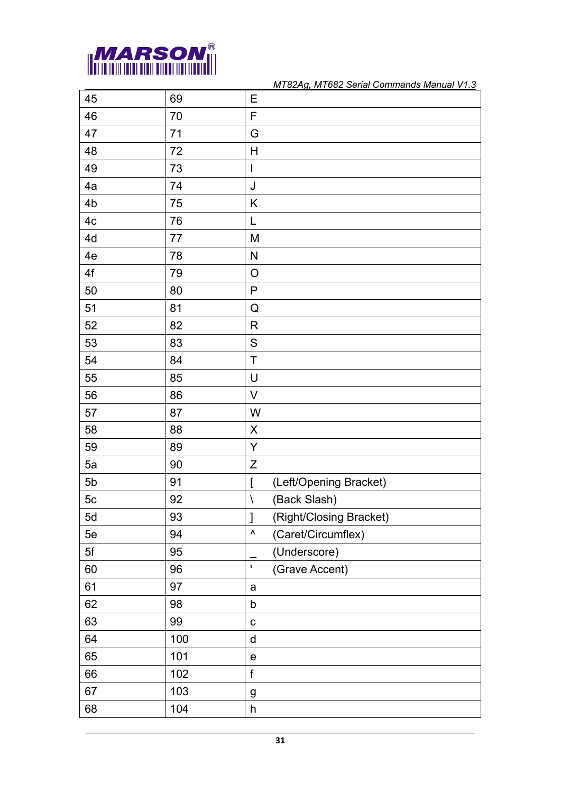

| 45             | 69  | Е                                       |
|----------------|-----|-----------------------------------------|
| 46             | 70  | F                                       |
| 47             | 71  | G                                       |
| 48             | 72  | Η                                       |
| 49             | 73  | $\overline{\phantom{a}}$                |
| 4a             | 74  | J                                       |
| 4b             | 75  | Κ                                       |
| 4 <sub>c</sub> | 76  | L                                       |
| 4d             | 77  | M                                       |
| 4e             | 78  | ${\sf N}$                               |
| 4f             | 79  | $\circ$                                 |
| 50             | 80  | ${\sf P}$                               |
| 51             | 81  | Q                                       |
| 52             | 82  | R                                       |
| 53             | 83  | ${\mathsf S}$                           |
| 54             | 84  | T                                       |
| 55             | 85  | U                                       |
| 56             | 86  | V                                       |
| 57             | 87  | W                                       |
| 58             | 88  | $\pmb{\mathsf{X}}$                      |
| 59             | 89  | Y                                       |
| 5a             | 90  | Ζ                                       |
| 5 <sub>b</sub> | 91  | (Left/Opening Bracket)<br>$\mathbf{I}$  |
| 5c             | 92  | (Back Slash)<br>$\backslash$            |
| 5d             | 93  | $\mathbf{I}$<br>(Right/Closing Bracket) |
| 5e             | 94  | $\pmb{\wedge}$<br>(Caret/Circumflex)    |
| 5f             | 95  | (Underscore)                            |
| 60             | 96  | $\mathbf{I}$<br>(Grave Accent)          |
| 61             | 97  | a                                       |
| 62             | 98  | b                                       |
| 63             | 99  | $\mathbf C$                             |
| 64             | 100 | $\sf d$                                 |
| 65             | 101 | $\mathsf e$                             |
| 66             | 102 | $\mathsf f$                             |
| 67             | 103 | g                                       |
| 68             | 104 | h                                       |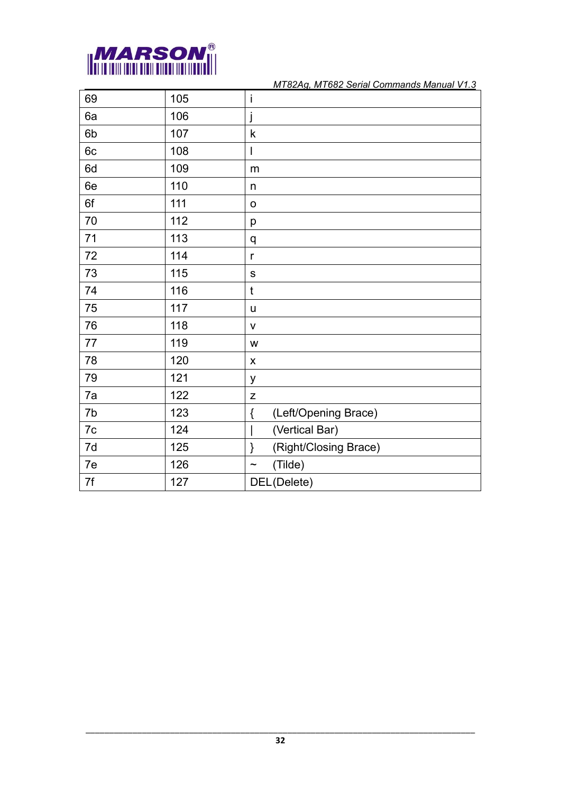

| 69            | 105 | Ť                            |
|---------------|-----|------------------------------|
| 6a            | 106 |                              |
| 6b            | 107 | k                            |
| 6c            | 108 | I                            |
| 6d            | 109 | m                            |
| 6e            | 110 | $\mathsf{n}$                 |
| 6f            | 111 | O                            |
| 70            | 112 | p                            |
| $71$          | 113 | q                            |
| $72\,$        | 114 | $\mathsf{r}$                 |
| 73            | 115 | $\mathsf S$                  |
| 74            | 116 | $\mathfrak t$                |
| 75            | 117 | u                            |
| 76            | 118 | V                            |
| $77 \,$       | 119 | W                            |
| 78            | 120 | X                            |
| 79            | 121 | У                            |
| 7a            | 122 | Z                            |
| 7b            | 123 | (Left/Opening Brace)<br>$\{$ |
| $7\mathrm{c}$ | 124 | (Vertical Bar)               |
| 7d            | 125 | (Right/Closing Brace)<br>}   |
| 7e            | 126 | (Tilde)<br>$\tilde{}$        |
| 7f            | 127 | DEL(Delete)                  |